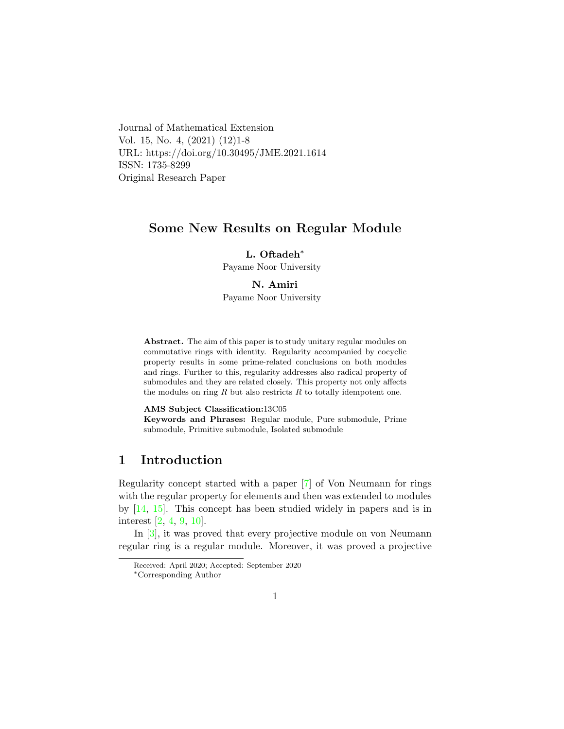Journal of Mathematical Extension Vol. 15, No. 4, (2021) (12)1-8 URL: https://doi.org/10.30495/JME.2021.1614 ISSN: 1735-8299 Original Research Paper

### Some New Results on Regular Module

L. Oftadeh<sup>∗</sup>

Payame Noor University

#### N. Amir[i](#page-0-0)

Payame Noor University

Abstract. The aim of this paper is to study unitary regular modules on commutative rings with identity. Regularity accompanied by cocyclic property results in some prime-related conclusions on both modules and rings. Further to this, regularity addresses also radical property of submodules and they are related closely. This property not only affects the modules on ring  $R$  but also restricts  $R$  to totally idempotent one.

#### AMS Subject Classification:13C05

Keywords and Phrases: Regular module, Pure submodule, Prime submodule, Primitive submodule, Isolated submodule

# 1 Introduction

Regularity concept started with a paper [\[7\]](#page-6-0) of Von Neumann for rings with the regular property for elements and then was extended to modules by  $[14, 15]$  $[14, 15]$  $[14, 15]$ . This concept has been studied widely in papers and is in interest [\[2,](#page-5-0) [4,](#page-5-1) [9,](#page-6-3) [10\]](#page-6-4).

In [\[3\]](#page-5-2), it was proved that every projective module on von Neumann regular ring is a regular module. Moreover, it was proved a projective

Received: April 2020; Accepted: September 2020

<span id="page-0-0"></span><sup>∗</sup>Corresponding Author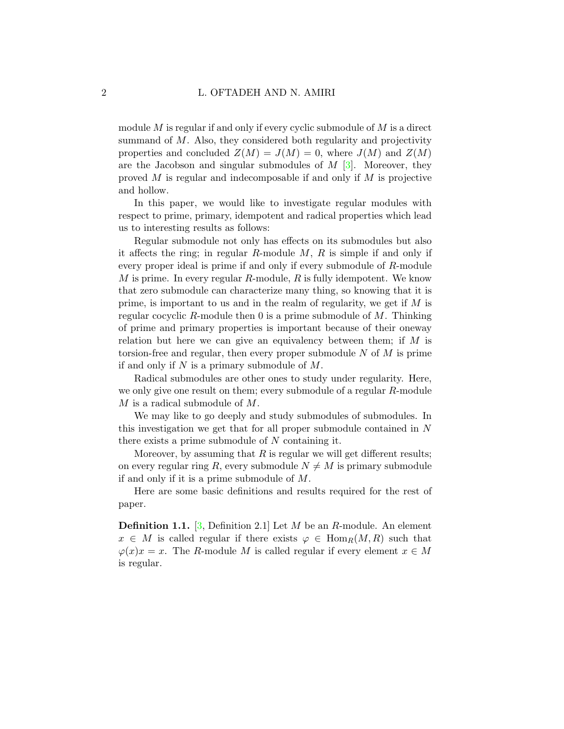module  $M$  is regular if and only if every cyclic submodule of  $M$  is a direct summand of  $M$ . Also, they considered both regularity and projectivity properties and concluded  $Z(M) = J(M) = 0$ , where  $J(M)$  and  $Z(M)$ are the Jacobson and singular submodules of  $M$  [\[3\]](#page-5-2). Moreover, they proved  $M$  is regular and indecomposable if and only if  $M$  is projective and hollow.

In this paper, we would like to investigate regular modules with respect to prime, primary, idempotent and radical properties which lead us to interesting results as follows:

Regular submodule not only has effects on its submodules but also it affects the ring; in regular  $R$ -module  $M$ ,  $R$  is simple if and only if every proper ideal is prime if and only if every submodule of R-module  $M$  is prime. In every regular  $R$ -module,  $R$  is fully idempotent. We know that zero submodule can characterize many thing, so knowing that it is prime, is important to us and in the realm of regularity, we get if  $M$  is regular cocyclic R-module then 0 is a prime submodule of  $M$ . Thinking of prime and primary properties is important because of their oneway relation but here we can give an equivalency between them; if  $M$  is torsion-free and regular, then every proper submodule  $N$  of  $M$  is prime if and only if  $N$  is a primary submodule of  $M$ .

Radical submodules are other ones to study under regularity. Here, we only give one result on them; every submodule of a regular R-module M is a radical submodule of M.

We may like to go deeply and study submodules of submodules. In this investigation we get that for all proper submodule contained in N there exists a prime submodule of  $N$  containing it.

Moreover, by assuming that  $R$  is regular we will get different results; on every regular ring R, every submodule  $N \neq M$  is primary submodule if and only if it is a prime submodule of M.

Here are some basic definitions and results required for the rest of paper.

**Definition 1.1.** [\[3,](#page-5-2) Definition 2.1] Let M be an R-module. An element  $x \in M$  is called regular if there exists  $\varphi \in \text{Hom}_R(M, R)$  such that  $\varphi(x)x = x$ . The R-module M is called regular if every element  $x \in M$ is regular.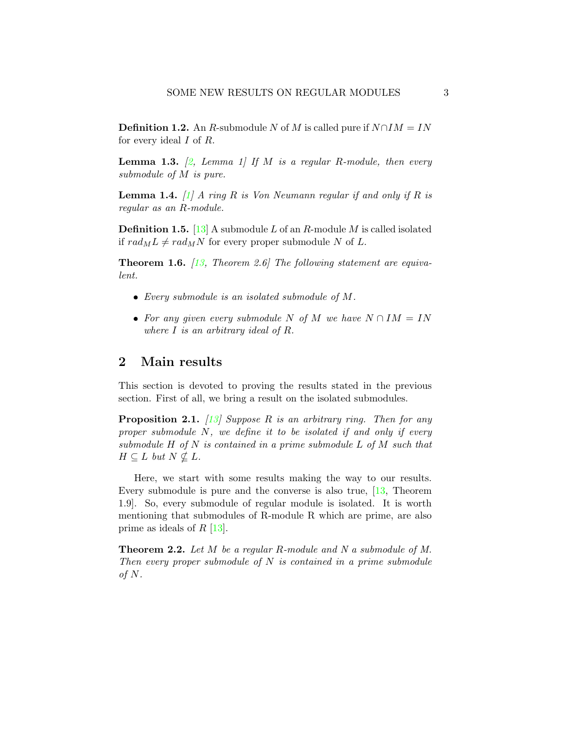**Definition 1.2.** An R-submodule N of M is called pure if  $N \cap IM = IN$ for every ideal  $I$  of  $R$ .

<span id="page-2-0"></span>**Lemma 1.3.** [\[2,](#page-5-0) Lemma 1] If M is a regular R-module, then every submodule of M is pure.

**Lemma 1.4.** [\[1\]](#page-5-3) A ring R is Von Neumann regular if and only if R is regular as an R-module.

**Definition 1.5.** [\[13\]](#page-6-5) A submodule L of an R-module M is called isolated if  $rad_M L \neq rad_M N$  for every proper submodule N of L.

<span id="page-2-1"></span>**Theorem 1.6.**  $\left[13, \text{ Theorem 2.6}\right]$  $\left[13, \text{ Theorem 2.6}\right]$  $\left[13, \text{ Theorem 2.6}\right]$  The following statement are equivalent.

- $\bullet$  Every submodule is an isolated submodule of M.
- For any given every submodule N of M we have  $N \cap IM = IN$ where I is an arbitrary ideal of R.

# 2 Main results

This section is devoted to proving the results stated in the previous section. First of all, we bring a result on the isolated submodules.

<span id="page-2-2"></span>**Proposition 2.1.** [\[13\]](#page-6-5) Suppose R is an arbitrary ring. Then for any proper submodule N, we define it to be isolated if and only if every submodule  $H$  of  $N$  is contained in a prime submodule  $L$  of  $M$  such that  $H \subseteq L$  but  $N \nsubseteq L$ .

Here, we start with some results making the way to our results. Every submodule is pure and the converse is also true, [\[13,](#page-6-5) Theorem 1.9]. So, every submodule of regular module is isolated. It is worth mentioning that submodules of R-module R which are prime, are also prime as ideals of  $R$  [\[13\]](#page-6-5).

Theorem 2.2. Let M be a regular R-module and N a submodule of M. Then every proper submodule of  $N$  is contained in a prime submodule of  $N$ .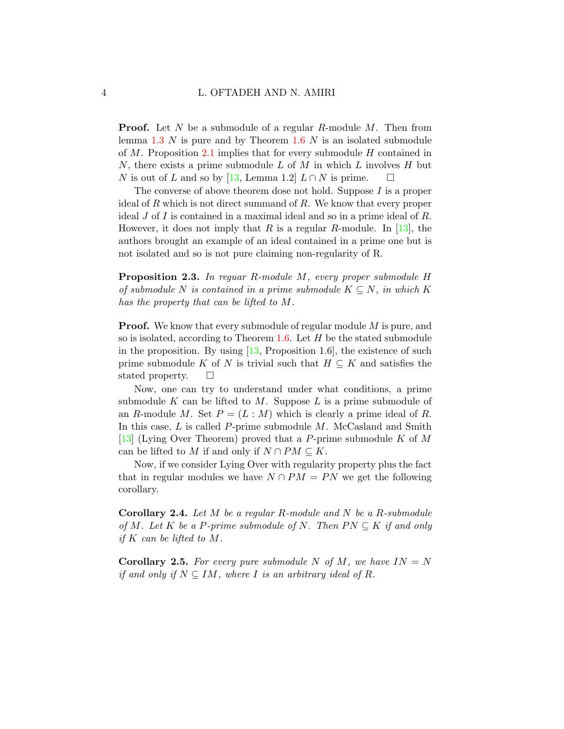**Proof.** Let N be a submodule of a regular R-module  $M$ . Then from lemma  $1.3$  N is pure and by Theorem  $1.6$  N is an isolated submodule of  $M$ . Proposition [2.1](#page-2-2) implies that for every submodule  $H$  contained in N, there exists a prime submodule L of M in which L involves H but N is out of L and so by [\[13,](#page-6-5) Lemma 1.2]  $L \cap N$  is prime.  $\square$ 

The converse of above theorem dose not hold. Suppose I is a proper ideal of R which is not direct summand of R. We know that every proper ideal J of I is contained in a maximal ideal and so in a prime ideal of  $R$ . However, it does not imply that R is a regular R-module. In [\[13\]](#page-6-5), the authors brought an example of an ideal contained in a prime one but is not isolated and so is not pure claiming non-regularity of R.

Proposition 2.3. In reguar R-module M, every proper submodule H of submodule N is contained in a prime submodule  $K \subseteq N$ , in which K has the property that can be lifted to M.

**Proof.** We know that every submodule of regular module M is pure, and so is isolated, according to Theorem  $1.6$ . Let  $H$  be the stated submodule in the proposition. By using  $[13,$  Proposition 1.6, the existence of such prime submodule K of N is trivial such that  $H \subseteq K$  and satisfies the stated property.  $\Box$ 

Now, one can try to understand under what conditions, a prime submodule K can be lifted to M. Suppose L is a prime submodule of an R-module M. Set  $P = (L : M)$  which is clearly a prime ideal of R. In this case,  $L$  is called  $P$ -prime submodule  $M$ . McCasland and Smith [\[13\]](#page-6-5) (Lying Over Theorem) proved that a P-prime submodule K of M can be lifted to M if and only if  $N \cap PM \subseteq K$ .

Now, if we consider Lying Over with regularity property plus the fact that in regular modules we have  $N \cap PM = PN$  we get the following corollary.

**Corollary 2.4.** Let  $M$  be a regular R-module and  $N$  be a R-submodule of M. Let K be a P-prime submodule of N. Then  $PN \subseteq K$  if and only if  $K$  can be lifted to  $M$ .

**Corollary 2.5.** For every pure submodule N of M, we have  $IN = N$ if and only if  $N \subseteq IM$ , where I is an arbitrary ideal of R.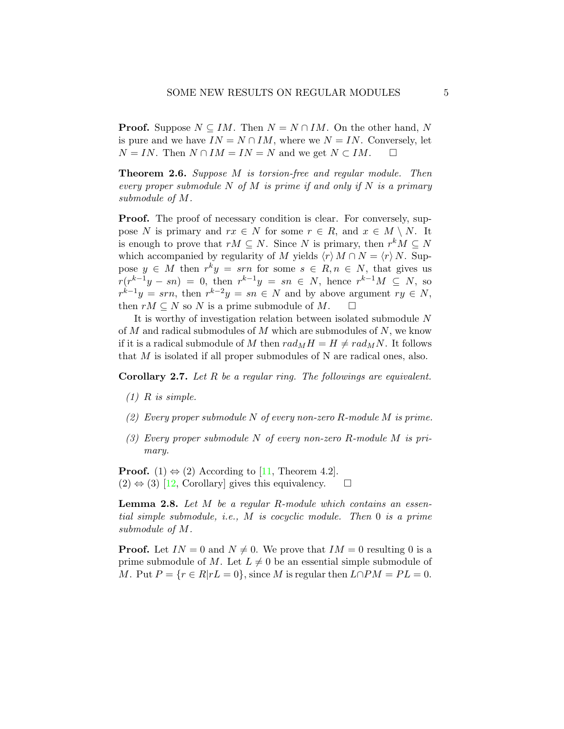**Proof.** Suppose  $N \subseteq IM$ . Then  $N = N \cap IM$ . On the other hand, N is pure and we have  $IN = N \cap IM$ , where we  $N = IN$ . Conversely, let  $N = IN$ . Then  $N \cap IM = IN = N$  and we get  $N \subset IM$ .  $\square$ 

Theorem 2.6. Suppose M is torsion-free and regular module. Then every proper submodule N of M is prime if and only if N is a primary submodule of M.

**Proof.** The proof of necessary condition is clear. For conversely, suppose N is primary and  $rx \in N$  for some  $r \in R$ , and  $x \in M \setminus N$ . It is enough to prove that  $rM \subseteq N$ . Since N is primary, then  $r^kM \subseteq N$ which accompanied by regularity of M yields  $\langle r \rangle M \cap N = \langle r \rangle N$ . Suppose  $y \in M$  then  $r^k y = s r n$  for some  $s \in R, n \in N$ , that gives us  $r(r^{k-1}y - sn) = 0$ , then  $r^{k-1}y = sn \in N$ , hence  $r^{k-1}M \subseteq N$ , so  $r^{k-1}y = sm$ , then  $r^{k-2}y = sn \in N$  and by above argument  $ry \in N$ , then  $rM \subseteq N$  so N is a prime submodule of M.  $\square$ 

It is worthy of investigation relation between isolated submodule N of  $M$  and radical submodules of  $M$  which are submodules of  $N$ , we know if it is a radical submodule of M then  $rad_MH = H \neq rad_MN$ . It follows that M is isolated if all proper submodules of N are radical ones, also.

Corollary 2.7. Let R be a regular ring. The followings are equivalent.

- $(1)$  R is simple.
- (2) Every proper submodule N of every non-zero R-module M is prime.
- (3) Every proper submodule N of every non-zero R-module M is primary.

**Proof.** (1)  $\Leftrightarrow$  (2) According to [\[11,](#page-6-6) Theorem 4.2].  $(2) \Leftrightarrow (3)$  [\[12,](#page-6-7) Corollary] gives this equivalency.  $\square$ 

**Lemma 2.8.** Let M be a regular R-module which contains an essential simple submodule, i.e., M is cocyclic module. Then 0 is a prime submodule of M.

**Proof.** Let  $IN = 0$  and  $N \neq 0$ . We prove that  $IM = 0$  resulting 0 is a prime submodule of M. Let  $L \neq 0$  be an essential simple submodule of M. Put  $P = \{r \in R | rL = 0\}$ , since M is regular then  $L \cap PM = PL = 0$ .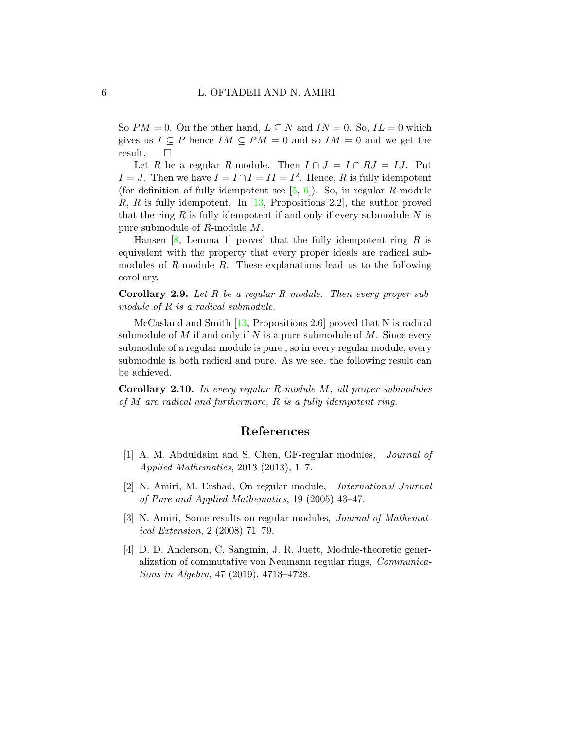So  $PM = 0$ . On the other hand,  $L \subseteq N$  and  $IN = 0$ . So,  $IL = 0$  which gives us  $I \subseteq P$  hence  $IM \subseteq PM = 0$  and so  $IM = 0$  and we get the result.  $\square$ 

Let R be a regular R-module. Then  $I \cap J = I \cap RJ = IJ$ . Put  $I = J$ . Then we have  $I = I \cap I = II = I^2$ . Hence, R is fully idempotent (for definition of fully idempotent see  $[5, 6]$  $[5, 6]$  $[5, 6]$ ). So, in regular R-module R, R is fully idempotent. In  $[13,$  Propositions 2.2, the author proved that the ring  $R$  is fully idempotent if and only if every submodule  $N$  is pure submodule of R-module M.

Hansen  $[8, \text{ Lemma } 1]$  $[8, \text{ Lemma } 1]$  proved that the fully idempotent ring R is equivalent with the property that every proper ideals are radical submodules of R-module R. These explanations lead us to the following corollary.

Corollary 2.9. Let R be a regular R-module. Then every proper submodule of R is a radical submodule.

McCasland and Smith [\[13,](#page-6-5) Propositions 2.6] proved that N is radical submodule of M if and only if N is a pure submodule of M. Since every submodule of a regular module is pure , so in every regular module, every submodule is both radical and pure. As we see, the following result can be achieved.

Corollary 2.10. In every regular R-module M, all proper submodules of  $M$  are radical and furthermore,  $R$  is a fully idempotent ring.

### References

- <span id="page-5-3"></span>[1] A. M. Abduldaim and S. Chen, GF-regular modules, Journal of Applied Mathematics, 2013 (2013), 1–7.
- <span id="page-5-0"></span>[2] N. Amiri, M. Ershad, On regular module, International Journal of Pure and Applied Mathematics, 19 (2005) 43–47.
- <span id="page-5-2"></span>[3] N. Amiri, Some results on regular modules, Journal of Mathematical Extension, 2 (2008) 71–79.
- <span id="page-5-1"></span>[4] D. D. Anderson, C. Sangmin, J. R. Juett, Module-theoretic generalization of commutative von Neumann regular rings, Communications in Algebra, 47 (2019), 4713–4728.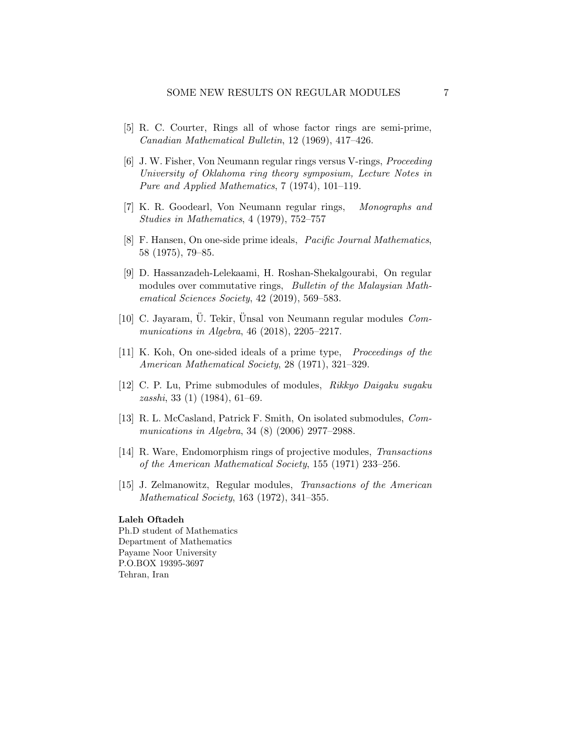- <span id="page-6-8"></span>[5] R. C. Courter, Rings all of whose factor rings are semi-prime, Canadian Mathematical Bulletin, 12 (1969), 417–426.
- <span id="page-6-9"></span>[6] J. W. Fisher, Von Neumann regular rings versus V-rings, Proceeding University of Oklahoma ring theory symposium, Lecture Notes in Pure and Applied Mathematics, 7 (1974), 101–119.
- <span id="page-6-0"></span>[7] K. R. Goodearl, Von Neumann regular rings, Monographs and Studies in Mathematics, 4 (1979), 752–757
- <span id="page-6-10"></span>[8] F. Hansen, On one-side prime ideals, Pacific Journal Mathematics, 58 (1975), 79–85.
- <span id="page-6-3"></span>[9] D. Hassanzadeh-Lelekaami, H. Roshan-Shekalgourabi, On regular modules over commutative rings, *Bulletin of the Malaysian Math*ematical Sciences Society, 42 (2019), 569–583.
- <span id="page-6-4"></span>[10] C. Jayaram,  $\ddot{\text{U}}$ . Tekir,  $\ddot{\text{U}}$ nsal von Neumann regular modules *Com*munications in Algebra, 46 (2018), 2205–2217.
- <span id="page-6-6"></span>[11] K. Koh, On one-sided ideals of a prime type, Proceedings of the American Mathematical Society, 28 (1971), 321–329.
- <span id="page-6-7"></span>[12] C. P. Lu, Prime submodules of modules, Rikkyo Daigaku sugaku zasshi, 33 (1) (1984), 61–69.
- <span id="page-6-5"></span>[13] R. L. McCasland, Patrick F. Smith, On isolated submodules, Communications in Algebra, 34 (8) (2006) 2977–2988.
- <span id="page-6-1"></span>[14] R. Ware, Endomorphism rings of projective modules, Transactions of the American Mathematical Society, 155 (1971) 233–256.
- <span id="page-6-2"></span>[15] J. Zelmanowitz, Regular modules, Transactions of the American Mathematical Society, 163 (1972), 341–355.

#### Laleh Oftadeh

Ph.D student of Mathematics Department of Mathematics Payame Noor University P.O.BOX 19395-3697 Tehran, Iran